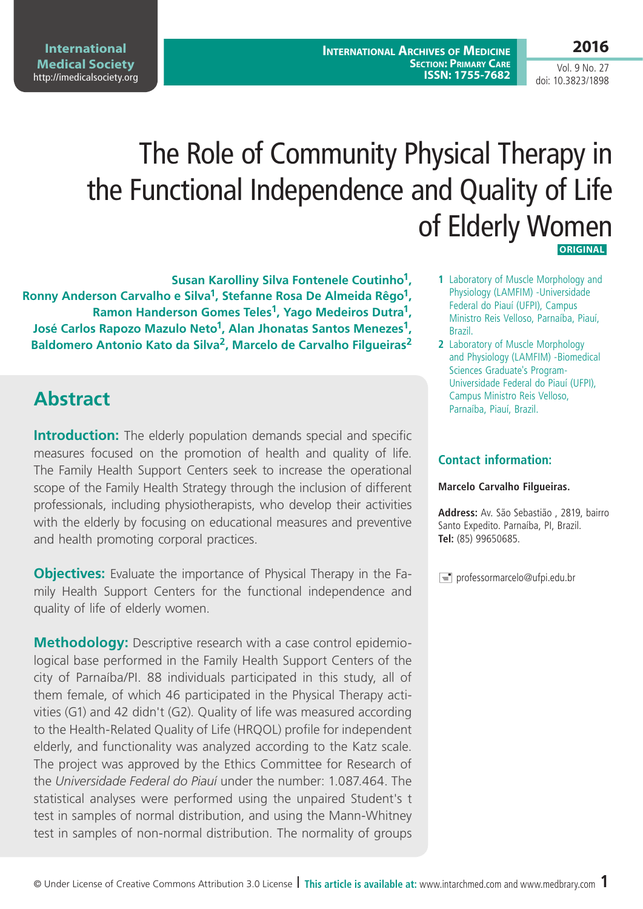**International Archives of Medicine Section: Primary Care ISSN: 1755-7682** **2016**

Vol. 9 No. 27 doi: 10.3823/1898

# The Role of Community Physical Therapy in the Functional Independence and Quality of Life of Elderly Women

 **Original**

**Susan Karolliny Silva Fontenele Coutinho1, Ronny Anderson Carvalho e Silva1, Stefanne Rosa De Almeida Rêgo1, Ramon Handerson Gomes Teles1, Yago Medeiros Dutra1, José Carlos Rapozo Mazulo Neto1, Alan Jhonatas Santos Menezes1, Baldomero Antonio Kato da Silva2, Marcelo de Carvalho Filgueiras2**

# **Abstract**

**International Medical Society**  <http://imedicalsociety.org>

**Introduction:** The elderly population demands special and specific measures focused on the promotion of health and quality of life. The Family Health Support Centers seek to increase the operational scope of the Family Health Strategy through the inclusion of different professionals, including physiotherapists, who develop their activities with the elderly by focusing on educational measures and preventive and health promoting corporal practices.

**Objectives:** Evaluate the importance of Physical Therapy in the Family Health Support Centers for the functional independence and quality of life of elderly women.

**Methodology:** Descriptive research with a case control epidemiological base performed in the Family Health Support Centers of the city of Parnaíba/PI. 88 individuals participated in this study, all of them female, of which 46 participated in the Physical Therapy activities (G1) and 42 didn't (G2). Quality of life was measured according to the Health-Related Quality of Life (HRQOL) profile for independent elderly, and functionality was analyzed according to the Katz scale. The project was approved by the Ethics Committee for Research of the *Universidade Federal do Piauí* under the number: 1.087.464. The statistical analyses were performed using the unpaired Student's t test in samples of normal distribution, and using the Mann-Whitney test in samples of non-normal distribution. The normality of groups

- **1** Laboratory of Muscle Morphology and Physiology (LAMFIM) -Universidade Federal do Piauí (UFPI), Campus Ministro Reis Velloso, Parnaíba, Piauí, Brazil.
- **2** Laboratory of Muscle Morphology and Physiology (LAMFIM) -Biomedical Sciences Graduate's Program-Universidade Federal do Piauí (UFPI), Campus Ministro Reis Velloso, Parnaíba, Piauí, Brazil.

#### **Contact information:**

#### **Marcelo Carvalho Filgueiras.**

**Address:** Av. São Sebastião , 2819, bairro Santo Expedito. Parnaíba, PI, Brazil. **Tel:** (85) 99650685.

 $\equiv$  professormarcelo@ufpi.edu.br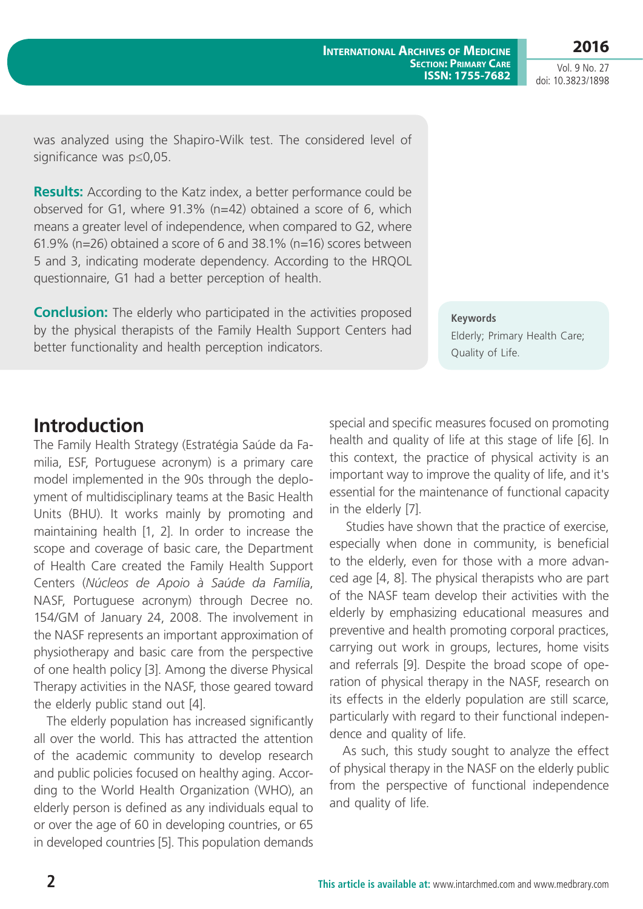Vol. 9 No. 27 doi: 10.3823/1898

was analyzed using the Shapiro-Wilk test. The considered level of significance was p≤0,05.

**Results:** According to the Katz index, a better performance could be observed for G1, where 91.3% (n=42) obtained a score of 6, which means a greater level of independence, when compared to G2, where 61.9% (n=26) obtained a score of 6 and 38.1% (n=16) scores between 5 and 3, indicating moderate dependency. According to the HRQOL questionnaire, G1 had a better perception of health.

**Conclusion:** The elderly who participated in the activities proposed by the physical therapists of the Family Health Support Centers had better functionality and health perception indicators.

> special and specific measures focused on promoting health and quality of life at this stage of life [6]. In this context, the practice of physical activity is an important way to improve the quality of life, and it's essential for the maintenance of functional capacity in the elderly [7].

**Keywords**

Quality of Life.

Elderly; Primary Health Care;

**International Archives of Medicine**

**Section: Primary Care ISSN: 1755-7682**

 Studies have shown that the practice of exercise, especially when done in community, is beneficial to the elderly, even for those with a more advanced age [4, 8]. The physical therapists who are part of the NASF team develop their activities with the elderly by emphasizing educational measures and preventive and health promoting corporal practices, carrying out work in groups, lectures, home visits and referrals [9]. Despite the broad scope of operation of physical therapy in the NASF, research on its effects in the elderly population are still scarce, particularly with regard to their functional independence and quality of life.

As such, this study sought to analyze the effect of physical therapy in the NASF on the elderly public from the perspective of functional independence and quality of life.

### **Introduction**

The Family Health Strategy (Estratégia Saúde da Familia, ESF, Portuguese acronym) is a primary care model implemented in the 90s through the deployment of multidisciplinary teams at the Basic Health Units (BHU). It works mainly by promoting and maintaining health [1, 2]. In order to increase the scope and coverage of basic care, the Department of Health Care created the Family Health Support Centers (*Núcleos de Apoio à Saúde da Família*, NASF, Portuguese acronym) through Decree no. 154/GM of January 24, 2008. The involvement in the NASF represents an important approximation of physiotherapy and basic care from the perspective of one health policy [3]. Among the diverse Physical Therapy activities in the NASF, those geared toward the elderly public stand out [4].

The elderly population has increased significantly all over the world. This has attracted the attention of the academic community to develop research and public policies focused on healthy aging. According to the World Health Organization (WHO), an elderly person is defined as any individuals equal to or over the age of 60 in developing countries, or 65 in developed countries [5]. This population demands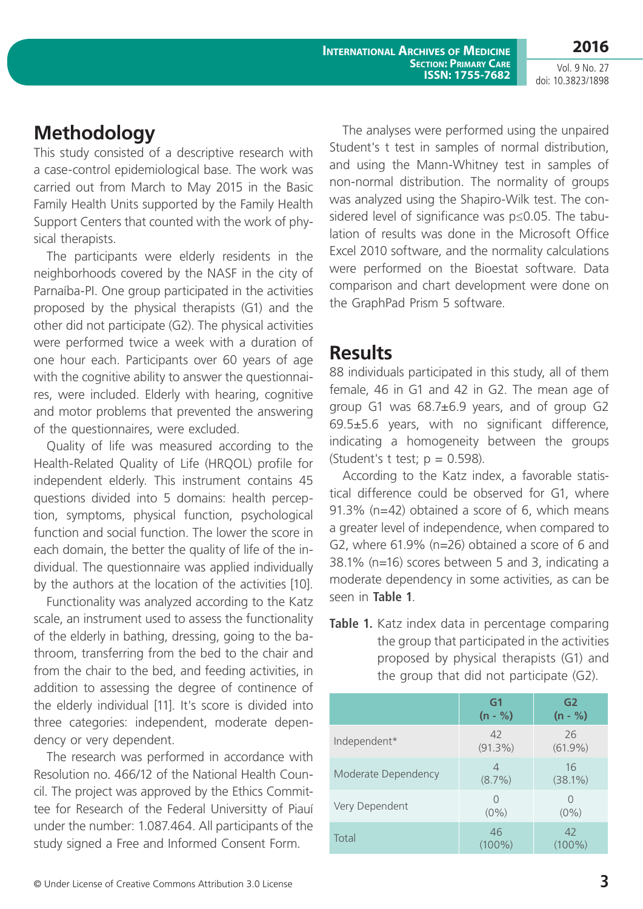**International Archives of Medicine Section: Primary Care ISSN: 1755-7682** **2016**

Vol. 9 No. 27 doi: 10.3823/1898

#### **Methodology**

This study consisted of a descriptive research with a case-control epidemiological base. The work was carried out from March to May 2015 in the Basic Family Health Units supported by the Family Health Support Centers that counted with the work of physical therapists.

The participants were elderly residents in the neighborhoods covered by the NASF in the city of Parnaíba-PI. One group participated in the activities proposed by the physical therapists (G1) and the other did not participate (G2). The physical activities were performed twice a week with a duration of one hour each. Participants over 60 years of age with the cognitive ability to answer the questionnaires, were included. Elderly with hearing, cognitive and motor problems that prevented the answering of the questionnaires, were excluded.

Quality of life was measured according to the Health-Related Quality of Life (HRQOL) profile for independent elderly. This instrument contains 45 questions divided into 5 domains: health perception, symptoms, physical function, psychological function and social function. The lower the score in each domain, the better the quality of life of the individual. The questionnaire was applied individually by the authors at the location of the activities [10].

Functionality was analyzed according to the Katz scale, an instrument used to assess the functionality of the elderly in bathing, dressing, going to the bathroom, transferring from the bed to the chair and from the chair to the bed, and feeding activities, in addition to assessing the degree of continence of the elderly individual [11]. It's score is divided into three categories: independent, moderate dependency or very dependent.

The research was performed in accordance with Resolution no. 466/12 of the National Health Council. The project was approved by the Ethics Committee for Research of the Federal Universitty of Piauí under the number: 1.087.464. All participants of the study signed a Free and Informed Consent Form.

The analyses were performed using the unpaired Student's t test in samples of normal distribution, and using the Mann-Whitney test in samples of non-normal distribution. The normality of groups was analyzed using the Shapiro-Wilk test. The considered level of significance was p≤0.05. The tabulation of results was done in the Microsoft Office Excel 2010 software, and the normality calculations were performed on the Bioestat software. Data comparison and chart development were done on the GraphPad Prism 5 software.

#### **Results**

88 individuals participated in this study, all of them female, 46 in G1 and 42 in G2. The mean age of group G1 was 68.7±6.9 years, and of group G2 69.5±5.6 years, with no significant difference, indicating a homogeneity between the groups (Student's t test;  $p = 0.598$ ).

According to the Katz index, a favorable statistical difference could be observed for G1, where 91.3% (n=42) obtained a score of 6, which means a greater level of independence, when compared to G2, where 61.9% (n=26) obtained a score of 6 and 38.1% (n=16) scores between 5 and 3, indicating a moderate dependency in some activities, as can be seen in **table 1**.

| $\frac{1}{2}$ . $\frac{1}{2}$ . $\frac{1}{2}$ . $\frac{1}{2}$ . $\frac{1}{2}$ . $\frac{1}{2}$ . $\frac{1}{2}$ . $\frac{1}{2}$ . $\frac{1}{2}$ . $\frac{1}{2}$ . $\frac{1}{2}$ . $\frac{1}{2}$ . $\frac{1}{2}$ . $\frac{1}{2}$ . $\frac{1}{2}$ . $\frac{1}{2}$ . $\frac{1}{2}$ . $\frac{1}{2}$ . $\frac{1$ |                             |                             |  |
|-----------------------------------------------------------------------------------------------------------------------------------------------------------------------------------------------------------------------------------------------------------------------------------------------------------|-----------------------------|-----------------------------|--|
|                                                                                                                                                                                                                                                                                                           | G <sub>1</sub><br>$(n - %)$ | G <sub>2</sub><br>$(n - %)$ |  |
| Independent*                                                                                                                                                                                                                                                                                              | 42<br>$(91.3\%)$            | 26<br>$(61.9\%)$            |  |
| Moderate Dependency                                                                                                                                                                                                                                                                                       | 4<br>$(8.7\%)$              | 16<br>$(38.1\%)$            |  |
| Very Dependent                                                                                                                                                                                                                                                                                            | Ω<br>$(0\%)$                | $\left( \right)$<br>$(0\%)$ |  |
| Total                                                                                                                                                                                                                                                                                                     | 46<br>$(100\%)$             | 42<br>$(100\%)$             |  |

**Table 1.** Katz index data in percentage comparing the group that participated in the activities proposed by physical therapists (G1) and the group that did not participate (G2).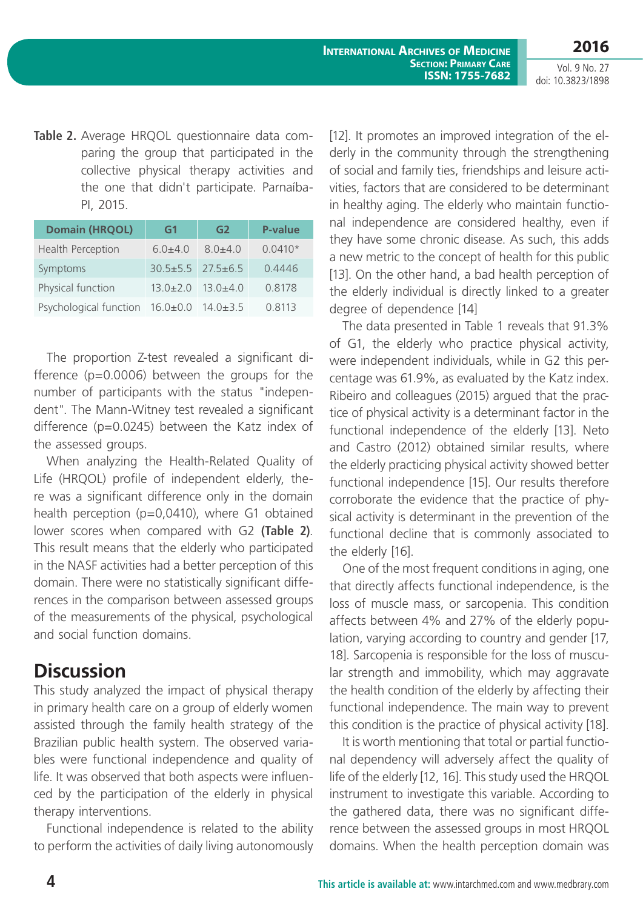**2016** Vol. 9 No. 27

doi: 10.3823/1898

**Table 2.** Average HRQOL questionnaire data comparing the group that participated in the collective physical therapy activities and the one that didn't participate. Parnaíba-PI, 2015.

| <b>Domain (HRQOL)</b>           | G1                            | G2                            | <b>P-value</b> |
|---------------------------------|-------------------------------|-------------------------------|----------------|
| <b>Health Perception</b>        | $6.0 + 4.0$                   | $8.0 + 4.0$                   | $0.0410*$      |
| Symptoms                        | $30.5 \pm 5.5$ $27.5 \pm 6.5$ |                               | 0.4446         |
| Physical function               |                               | $13.0 \pm 2.0$ $13.0 \pm 4.0$ | 0.8178         |
| Psychological function 16.0±0.0 |                               | $14.0 \pm 3.5$                | 0.8113         |

The proportion Z-test revealed a significant difference (p=0.0006) between the groups for the number of participants with the status "independent". The Mann-Witney test revealed a significant difference (p=0.0245) between the Katz index of the assessed groups.

When analyzing the Health-Related Quality of Life (HRQOL) profile of independent elderly, there was a significant difference only in the domain health perception (p=0,0410), where G1 obtained lower scores when compared with G2 **(Table 2)**. This result means that the elderly who participated in the NASF activities had a better perception of this domain. There were no statistically significant differences in the comparison between assessed groups of the measurements of the physical, psychological and social function domains.

### **Discussion**

This study analyzed the impact of physical therapy in primary health care on a group of elderly women assisted through the family health strategy of the Brazilian public health system. The observed variables were functional independence and quality of life. It was observed that both aspects were influenced by the participation of the elderly in physical therapy interventions.

Functional independence is related to the ability to perform the activities of daily living autonomously [12]. It promotes an improved integration of the elderly in the community through the strengthening of social and family ties, friendships and leisure activities, factors that are considered to be determinant in healthy aging. The elderly who maintain functional independence are considered healthy, even if they have some chronic disease. As such, this adds a new metric to the concept of health for this public [13]. On the other hand, a bad health perception of the elderly individual is directly linked to a greater degree of dependence [14]

The data presented in Table 1 reveals that 91.3% of G1, the elderly who practice physical activity, were independent individuals, while in G2 this percentage was 61.9%, as evaluated by the Katz index. Ribeiro and colleagues (2015) argued that the practice of physical activity is a determinant factor in the functional independence of the elderly [13]. Neto and Castro (2012) obtained similar results, where the elderly practicing physical activity showed better functional independence [15]. Our results therefore corroborate the evidence that the practice of physical activity is determinant in the prevention of the functional decline that is commonly associated to the elderly [16].

One of the most frequent conditions in aging, one that directly affects functional independence, is the loss of muscle mass, or sarcopenia. This condition affects between 4% and 27% of the elderly population, varying according to country and gender [17, 18]. Sarcopenia is responsible for the loss of muscular strength and immobility, which may aggravate the health condition of the elderly by affecting their functional independence. The main way to prevent this condition is the practice of physical activity [18].

It is worth mentioning that total or partial functional dependency will adversely affect the quality of life of the elderly [12, 16]. This study used the HRQOL instrument to investigate this variable. According to the gathered data, there was no significant difference between the assessed groups in most HRQOL domains. When the health perception domain was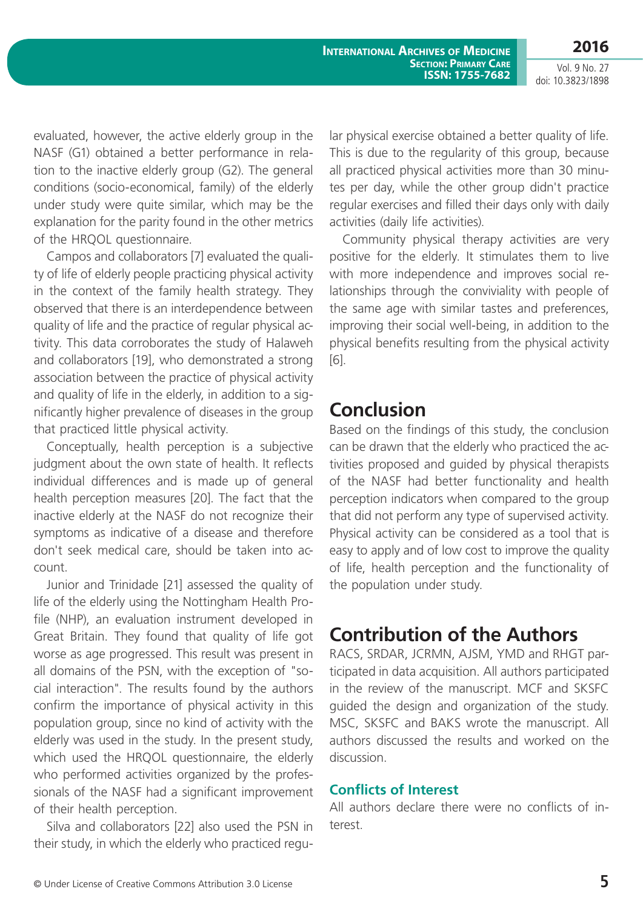**International Archives of Medicine Section: Primary Care ISSN: 1755-7682 2016**

Vol. 9 No. 27 doi: 10.3823/1898

evaluated, however, the active elderly group in the NASF (G1) obtained a better performance in relation to the inactive elderly group (G2). The general conditions (socio-economical, family) of the elderly under study were quite similar, which may be the explanation for the parity found in the other metrics of the HRQOL questionnaire.

Campos and collaborators [7] evaluated the quality of life of elderly people practicing physical activity in the context of the family health strategy. They observed that there is an interdependence between quality of life and the practice of regular physical activity. This data corroborates the study of Halaweh and collaborators [19], who demonstrated a strong association between the practice of physical activity and quality of life in the elderly, in addition to a significantly higher prevalence of diseases in the group that practiced little physical activity.

Conceptually, health perception is a subjective judgment about the own state of health. It reflects individual differences and is made up of general health perception measures [20]. The fact that the inactive elderly at the NASF do not recognize their symptoms as indicative of a disease and therefore don't seek medical care, should be taken into account.

Junior and Trinidade [21] assessed the quality of life of the elderly using the Nottingham Health Profile (NHP), an evaluation instrument developed in Great Britain. They found that quality of life got worse as age progressed. This result was present in all domains of the PSN, with the exception of "social interaction". The results found by the authors confirm the importance of physical activity in this population group, since no kind of activity with the elderly was used in the study. In the present study, which used the HRQOL questionnaire, the elderly who performed activities organized by the professionals of the NASF had a significant improvement of their health perception.

Silva and collaborators [22] also used the PSN in their study, in which the elderly who practiced regular physical exercise obtained a better quality of life. This is due to the regularity of this group, because all practiced physical activities more than 30 minutes per day, while the other group didn't practice regular exercises and filled their days only with daily activities (daily life activities).

Community physical therapy activities are very positive for the elderly. It stimulates them to live with more independence and improves social relationships through the conviviality with people of the same age with similar tastes and preferences, improving their social well-being, in addition to the physical benefits resulting from the physical activity [6].

#### **Conclusion**

Based on the findings of this study, the conclusion can be drawn that the elderly who practiced the activities proposed and guided by physical therapists of the NASF had better functionality and health perception indicators when compared to the group that did not perform any type of supervised activity. Physical activity can be considered as a tool that is easy to apply and of low cost to improve the quality of life, health perception and the functionality of the population under study.

## **Contribution of the Authors**

RACS, SRDAR, JCRMN, AJSM, YMD and RHGT participated in data acquisition. All authors participated in the review of the manuscript. MCF and SKSFC guided the design and organization of the study. MSC, SKSFC and BAKS wrote the manuscript. All authors discussed the results and worked on the discussion.

#### **Conflicts of Interest**

All authors declare there were no conflicts of interest.